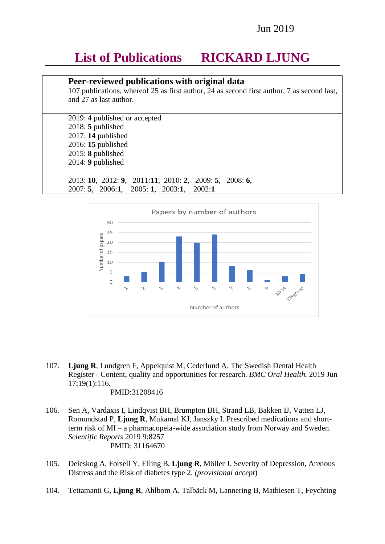### Jun 2019

# **List of Publications RICKARD LJUNG**

### **Peer-reviewed publications with original data**

107 publications, whereof 25 as first author, 24 as second first author, 7 as second last, and 27 as last author.

2019: **4** published or accepted 2018: **5** published 2017: **14** published 2016: **15** published 2015: **8** published 2014: **9** published

2013: **10**, 2012: **9**, 2011:**11**, 2010: **2**, 2009: **5**, 2008: **6**, 2007: **5**, 2006:**1**, 2005: **1**, 2003:**1**, 2002:**1**



- 107. **Ljung R**, Lundgren F, Appelquist M, Cederlund A. The Swedish Dental Health Register - Content, quality and opportunities for research. *BMC Oral Health.* 2019 Jun 17;19(1):116.
	- PMID:31208416
- 106. Sen A, Vardaxis I, Lindqvist BH, Brumpton BH, Strand LB, Bakken IJ, Vatten LJ, Romundstad P, **Ljung R**, Mukamal KJ, Janszky I. Prescribed medications and shortterm risk of MI – a pharmacopeia-wide association study from Norway and Sweden. *Scientific Reports* 2019 9:8257 PMID: 31164670
- 105. Deleskog A, Forsell Y, Elling B, **Ljung R**, Möller J. Severity of Depression, Anxious Distress and the Risk of diabetes type 2. *(provisional accept*)
- 104. Tettamanti G, **Ljung R**, Ahlbom A, Talbäck M, Lannering B, Mathiesen T, Feychting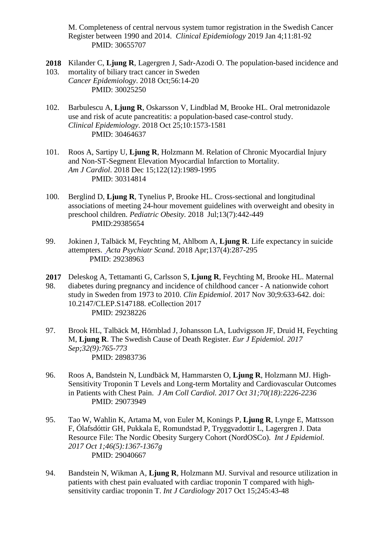M. Completeness of central nervous system tumor registration in the Swedish Cancer Register between 1990 and 2014. *Clinical Epidemiology* 2019 Jan 4;11:81-92 PMID: 30655707

- **2018** Kilander C, **Ljung R**, Lagergren J, Sadr-Azodi O. The population-based incidence and 103. mortality of biliary tract cancer in Sweden *Cancer Epidemiology*. 2018 Oct;56:14-20 PMID: 30025250
- 102. Barbulescu A, **Ljung R**, Oskarsson V, Lindblad M, Brooke HL. Oral metronidazole use and risk of acute pancreatitis: a population-based case-control study. *Clinical Epidemiology*. 2018 Oct 25;10:1573-1581 PMID: 30464637
- 101. Roos A, Sartipy U, **Ljung R**, Holzmann M. [Relation of Chronic Myocardial Injury](https://www-ncbi-nlm-nih-gov.proxy.kib.ki.se/pubmed/30314814)  [and Non-ST-Segment Elevation Myocardial Infarction to Mortality.](https://www-ncbi-nlm-nih-gov.proxy.kib.ki.se/pubmed/30314814) *Am J Cardiol*. 2018 Dec 15;122(12):1989-1995 PMID: 30314814
- 100. Berglind D, **Ljung R**, Tynelius P, Brooke HL. Cross-sectional and longitudinal associations of meeting 24-hour movement guidelines with overweight and obesity in preschool children. *Pediatric Obesity.* 2018 Jul;13(7):442-449 PMID:29385654
- 99. Jokinen J, Talbäck M, Feychting M, Ahlbom A, **Ljung R**. Life expectancy in suicide attempters. *Acta Psychiatr Scand*. 2018 Apr;137(4):287-295 PMID: 29238963
- **2017** 98. Deleskog A, Tettamanti G, Carlsson S, **Ljung R**, Feychting M, Brooke HL. Maternal diabetes during pregnancy and incidence of childhood cancer - A nationwide cohort study in Sweden from 1973 to 2010. *Clin Epidemiol*. 2017 Nov 30;9:633-642. doi: 10.2147/CLEP.S147188. eCollection 2017 PMID: 29238226
- 97. Brook HL, Talbäck M, Hörnblad J, Johansson LA, Ludvigsson JF, Druid H, Feychting M, **Ljung R**. The Swedish Cause of Death Register. *Eur J Epidemiol. 2017 Sep;32(9):765-773* PMID: 28983736
- 96. Roos A, Bandstein N, Lundbäck M, Hammarsten O, **Ljung R**, Holzmann MJ. High-Sensitivity Troponin T Levels and Long-term Mortality and Cardiovascular Outcomes in Patients with Chest Pain. *J Am Coll Cardiol. 2017 Oct 31;70(18):2226-2236* PMID: 29073949
- 95. Tao W, Wahlin K, Artama M, von Euler M, Konings P, **Ljung R**, Lynge E, Mattsson F, Ólafsdóttir GH, Pukkala E, Romundstad P, Tryggvadottir L, Lagergren J. Data Resource File: The Nordic Obesity Surgery Cohort (NordOSCo). *Int J Epidemiol. 2017 Oct 1;46(5):1367-1367g* PMID: 29040667
- 94. Bandstein N, Wikman A, **Ljung R**, Holzmann MJ. Survival and resource utilization in patients with chest pain evaluated with cardiac troponin T compared with highsensitivity cardiac troponin T. *Int J Cardiology* 2017 Oct 15;245:43-48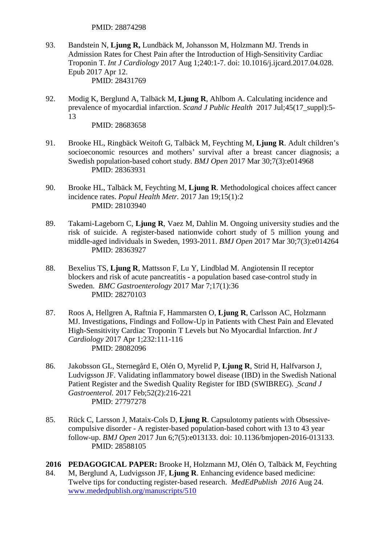- 93. Bandstein N, **Ljung R,** Lundbäck M, Johansson M, Holzmann MJ. Trends in Admission Rates for Chest Pain after the Introduction of High-Sensitivity Cardiac Troponin T. *Int J Cardiology* 2017 Aug 1;240:1-7. doi: 10.1016/j.ijcard.2017.04.028. Epub 2017 Apr 12. PMID: 28431769
- 92. Modig K, Berglund A, Talbäck M, **Ljung R**, Ahlbom A. Calculating incidence and prevalence of myocardial infarction. *Scand J Public Health* 2017 Jul;45(17\_suppl):5- 13

- 91. Brooke HL, Ringbäck Weitoft G, Talbäck M, Feychting M, **Ljung R**. Adult children's socioeconomic resources and mothers' survival after a breast cancer diagnosis; a Swedish population-based cohort study. *BMJ Open* 2017 Mar 30;7(3):e014968 PMID: 28363931
- 90. Brooke HL, Talbäck M, Feychting M, **Ljung R**. Methodological choices affect cancer incidence rates. *Popul Health Metr.* 2017 Jan 19;15(1):2 PMID: 28103940
- 89. Takami-Lageborn C, **Ljung R**, Vaez M, Dahlin M. Ongoing university studies and the risk of suicide. A register-based nationwide cohort study of 5 million young and middle-aged individuals in Sweden, 1993-2011. *BMJ Open* 2017 Mar 30;7(3):e014264 PMID: 28363927
- 88. Bexelius TS, **Ljung R**, Mattsson F, Lu Y, Lindblad M. Angiotensin II receptor blockers and risk of acute pancreatitis - a population based case-control study in Sweden. *BMC Gastroenterology* 2017 Mar 7;17(1):36 PMID: 28270103
- 87. Roos A, Hellgren A, Raftnia F, Hammarsten O, **Ljung R**, Carlsson AC, Holzmann MJ. Investigations, Findings and Follow-Up in Patients with Chest Pain and Elevated High-Sensitivity Cardiac Troponin T Levels but No Myocardial Infarction. *Int J Cardiology* 2017 Apr 1;232:111-116 PMID: 28082096
- 86. Jakobsson GL, Sternegård E, Olén O, Myrelid P, **Ljung R**, Strid H, Halfvarson J, Ludvigsson JF. Validating inflammatory bowel disease (IBD) in the Swedish National Patient Register and the Swedish Quality Register for IBD (SWIBREG). *Scand J Gastroenterol.* 2017 Feb;52(2):216-221 PMID: 27797278
- 85. Rück C, Larsson J, Mataix-Cols D, **Ljung R**. Capsulotomy patients with Obsessivecompulsive disorder - A register-based population-based cohort with 13 to 43 year follow-up. *BMJ Open* 2017 Jun 6;7(5):e013133. doi: 10.1136/bmjopen-2016-013133. PMID: 28588105
- **2016** 84. **PEDAGOGICAL PAPER:** Brooke H, Holzmann MJ, Olén O, Talbäck M, Feychting M, Berglund A, Ludvigsson JF, **Ljung R**. Enhancing evidence based medicine: Twelve tips for conducting register-based research. *MedEdPublish 2016* Aug 24. [www.mededpublish.org/manuscripts/510](http://www.mededpublish.org/manuscripts/510)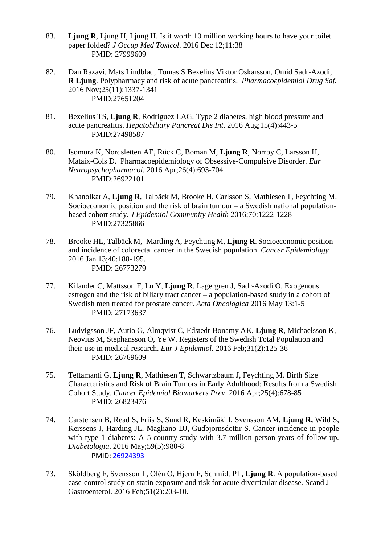- 83. **Ljung R**, Ljung H, Ljung H. Is it worth 10 million working hours to have your toilet paper folded? *J Occup Med Toxicol*. 2016 Dec 12;11:38 PMID: 27999609
- 82. Dan Razavi, Mats Lindblad, Tomas S Bexelius Viktor Oskarsson, Omid Sadr-Azodi, **R Ljung**. Polypharmacy and risk of acute pancreatitis. *Pharmacoepidemiol Drug Saf.*  2016 Nov;25(11):1337-1341 PMID:27651204
- 81. Bexelius TS, **Ljung R**, Rodriguez LAG. Type 2 diabetes, high blood pressure and acute pancreatitis. *Hepatobiliary Pancreat Dis Int*. 2016 Aug;15(4):443-5 PMID:27498587
- 80. Isomura K, Nordsletten AE, Rück C, Boman M, **Ljung R**, Norrby C, Larsson H, Mataix-Cols D. Pharmacoepidemiology of Obsessive-Compulsive Disorder. *Eur Neuropsychopharmacol*. 2016 Apr;26(4):693-704 PMID:26922101
- 79. Khanolkar A, **Ljung R**, Talbäck M, Brooke H, Carlsson S, Mathiesen T, Feychting M. Socioeconomic position and the risk of brain tumour – a Swedish national populationbased cohort study. *J Epidemiol Community Health* 2016;70:1222-1228 PMID:27325866
- 78. Brooke HL, Talbäck M, Martling A, Feychting M, **Ljung R**. Socioeconomic position and incidence of colorectal cancer in the Swedish population. *Cancer Epidemiology* 2016 Jan 13;40:188-195. PMID: 26773279
- 77. Kilander C, Mattsson F, Lu Y, **Ljung R**, Lagergren J, Sadr-Azodi O. Exogenous estrogen and the risk of biliary tract cancer – a population-based study in a cohort of Swedish men treated for prostate cancer. *Acta Oncologica* 2016 May 13:1-5 PMID: 27173637
- 76. Ludvigsson JF, Autio G, Almqvist C, Edstedt-Bonamy AK, **Ljung R**, Michaelsson K, Neovius M, Stephansson O, Ye W. Registers of the Swedish Total Population and their use in medical research. *Eur J Epidemiol*. 2016 Feb;31(2):125-36 PMID: 26769609
- 75. Tettamanti G, **Ljung R**, Mathiesen T, Schwartzbaum J, Feychting M. Birth Size Characteristics and Risk of Brain Tumors in Early Adulthood: Results from a Swedish Cohort Study. *Cancer Epidemiol Biomarkers Prev*. 2016 Apr;25(4):678-85 PMID: 26823476
- 74. Carstensen B, Read S, Friis S, Sund R, Keskimäki I, Svensson AM, **Ljung R,** Wild S, Kerssens J, Harding JL, Magliano DJ, Gudbjornsdottir S. Cancer incidence in people with type 1 diabetes: A 5-country study with 3.7 million person-years of follow-up. *Diabetologia*. 2016 May;59(5):980-8 PMID: [26924393](http://www.ncbi.nlm.nih.gov/pubmed/26924393)
- 73. Sköldberg F, Svensson T, Olén O, Hjern F, Schmidt PT, **Ljung R**. A population-based case-control study on statin exposure and risk for acute diverticular disease. Scand J Gastroenterol. 2016 Feb;51(2):203-10.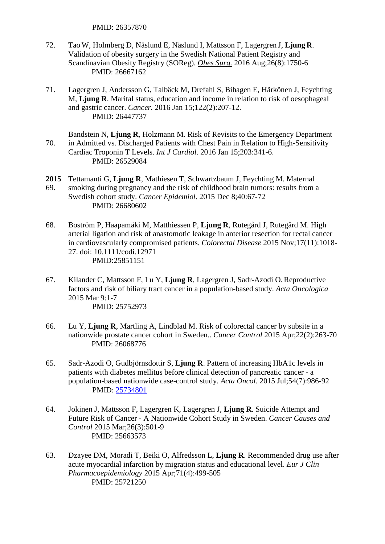- 72. Tao W, Holmberg D, Näslund E, Näslund I, Mattsson F, Lagergren J, **Ljung R**. Validation of obesity surgery in the Swedish National Patient Registry and Scandinavian Obesity Registry (SOReg). *[Obes Surg.](http://www.ncbi.nlm.nih.gov/pubmed/26667162)* 2016 Aug;26(8):1750-6 PMID: 26667162
- 71. Lagergren J, Andersson G, Talbäck M, Drefahl S, Bihagen E, Härkönen J, Feychting M, **Ljung R**. Marital status, education and income in relation to risk of oesophageal and gastric cancer. *Cancer.* 2016 Jan 15;122(2):207-12. PMID: 26447737
- 70. Bandstein N, **Ljung R**, Holzmann M. Risk of Revisits to the Emergency Department in Admitted vs. Discharged Patients with Chest Pain in Relation to High-Sensitivity Cardiac Troponin T Levels. *Int J Cardiol*. 2016 Jan 15;203:341-6. PMID: 26529084
- **2015** 69. Tettamanti G, **Ljung R**, Mathiesen T, Schwartzbaum J, Feychting M. Maternal smoking during pregnancy and the risk of childhood brain tumors: results from a Swedish cohort study. *Cancer Epidemiol*. 2015 Dec 8;40:67-72 PMID: 26680602
- 68. Boström P, Haapamäki M, Matthiessen P, **Ljung R**, Rutegård J, Rutegård M. High arterial ligation and risk of anastomotic leakage in anterior resection for rectal cancer in cardiovascularly compromised patients. *Colorectal Disease* 2015 Nov;17(11):1018- 27. doi: 10.1111/codi.12971 PMID:25851151
- 67. Kilander C, Mattsson F, Lu Y, **Ljung R**, Lagergren J, Sadr-Azodi O.Reproductive factors and risk of biliary tract cancer in a population-based study. *Acta Oncologica*  2015 Mar 9:1-7 PMID: 25752973
- 66. Lu Y, **Ljung R**, Martling A, Lindblad M. Risk of colorectal cancer by subsite in a nationwide prostate cancer cohort in Sweden.. *Cancer Control* 2015 Apr;22(2):263-70 PMID: 26068776
- 65. Sadr-Azodi O, Gudbjörnsdottir S, **Ljung R**. Pattern of increasing HbA1c levels in patients with diabetes mellitus before clinical detection of pancreatic cancer - a population-based nationwide case-control study. *Acta Oncol.* 2015 Jul;54(7):986-92 PMID: [25734801](http://www.ncbi.nlm.nih.gov/pubmed/?term=25734801)
- 64. Jokinen J, Mattsson F, Lagergren K, Lagergren J, **Ljung R**. Suicide Attempt and Future Risk of Cancer - A Nationwide Cohort Study in Sweden. *Cancer Causes and Control* 2015 Mar;26(3):501-9 PMID: 25663573
- 63. Dzayee DM, Moradi T, Beiki O, Alfredsson L, **Ljung R**. Recommended drug use after acute myocardial infarction by migration status and educational level. *Eur J Clin Pharmacoepidemiology* 2015 Apr;71(4):499-505 PMID: 25721250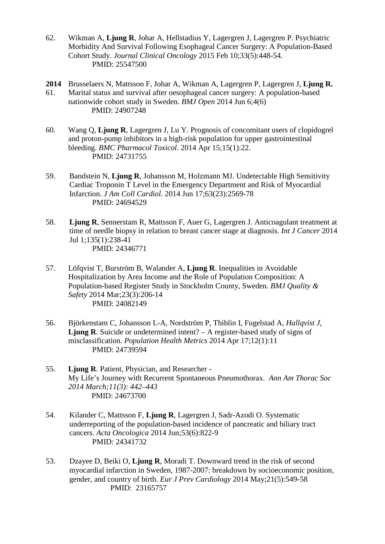- 62. Wikman A, **Ljung R**, Johar A, Hellstadius Y, Lagergren J, Lagergren P. Psychiatric Morbidity And Survival Following Esophageal Cancer Surgery: A Population-Based Cohort Study. *Journal Clinical Oncology* 2015 Feb 10;33(5):448-54. PMID: 25547500
- **2014** Brusselaers N, Mattsson F, Johar A, Wikman A, Lagergren P, Lagergren J, **Ljung R.**  61. Marital status and survival after oesophageal cancer surgery: A population-based nationwide cohort study in Sweden. *BMJ Open* 2014 Jun 6;4(6) PMID: 24907248
- 60. Wang Q, **Ljung R**, Lagergren J, Lu Y. [Prognosis of concomitant users of clopidogrel](http://www.ncbi.nlm.nih.gov/pubmed/24731755)  [and proton-pump inhibitors in a high-risk population for upper gastrointestinal](http://www.ncbi.nlm.nih.gov/pubmed/24731755)  [bleeding.](http://www.ncbi.nlm.nih.gov/pubmed/24731755) *BMC Pharmacol Toxicol*. 2014 Apr 15;15(1):22. PMID: 24731755
- 59. Bandstein N, **Ljung R**, Johansson M, Holzmann MJ. Undetectable High Sensitivity Cardiac Troponin T Level in the Emergency Department and Risk of Myocardial Infarction. *J Am Coll Cardiol.* 2014 Jun 17;63(23):2569-78 PMID: 24694529
- 58. **Ljung R**, Sennerstam R, Mattsson F, Auer G, Lagergren J. Anticoagulant treatment at time of needle biopsy in relation to breast cancer stage at diagnosis. *Int J Cancer* 2014 Jul 1;135(1):238-41 PMID: 24346771
- 57. Löfqvist T, Burström B, Walander A, **Ljung R**. Inequalities in Avoidable Hospitalization by Area Income and the Role of Population Composition: A Population-based Register Study in Stockholm County, Sweden. *BMJ Quality & Safety* 2014 Mar;23(3):206-14 PMID: 24082149
- 56. Björkenstam C, Johansson L-A, Nordström P, Thiblin I, Fugelstad A, *Hallqvist J*, **Ljung R**. Suicide or undetermined intent? – A register-based study of signs of misclassification. *Population Health Metrics* 2014 Apr 17;12(1):11 PMID: 24739594
- 55. **Ljung R**. Patient, Physician, and Researcher My Life's Journey with Recurrent Spontaneous Pneumothorax. *Ann Am Thorac Soc 2014 March;11(3): 442–443* PMID: 24673700
- 54. Kilander C, Mattsson F, **Ljung R**, Lagergren J, Sadr-Azodi O. Systematic underreporting of the population-based incidence of pancreatic and biliary tract cancers. *Acta Oncologica* 2014 Jun;53(6):822-9 PMID: 24341732
- 53. Dzayee D, Beiki O, **Ljung R**, Moradi T. [Downward trend in the risk of second](http://www.ncbi.nlm.nih.gov/pubmed/23165757)  [myocardial infarction in Sweden, 1987-2007: breakdown by socioeconomic position,](http://www.ncbi.nlm.nih.gov/pubmed/23165757)  [gender, and country of birth.](http://www.ncbi.nlm.nih.gov/pubmed/23165757) *Eur J Prev Cardiology* 2014 May;21(5):549-58 PMID: 23165757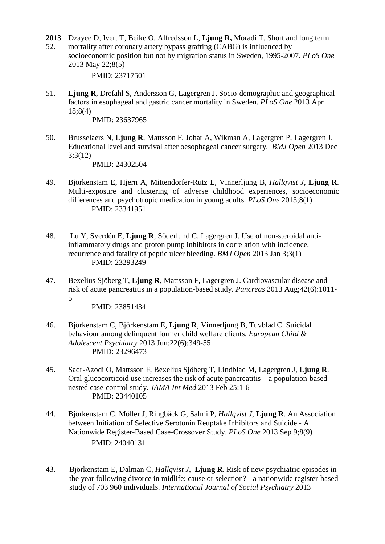- **2013** Dzayee D, Ivert T, Beike O, Alfredsson L, **Ljung R,** Moradi T. Short and long term
- 52. mortality after coronary artery bypass grafting (CABG) is influenced by socioeconomic position but not by migration status in Sweden, 1995-2007. *PLoS One* 2013 May 22;8(5)

51. **Ljung R**, Drefahl S, Andersson G, Lagergren J. Socio-demographic and geographical factors in esophageal and gastric cancer mortality in Sweden. *PLoS One* 2013 Apr 18;8(4)

PMID: 23637965

50. Brusselaers N, **Ljung R**, Mattsson F, Johar A, Wikman A, Lagergren P, Lagergren J. Educational level and survival after oesophageal cancer surgery*. BMJ Open* 2013 Dec 3;3(12)

PMID: 24302504

- 49. Björkenstam E, Hjern A, Mittendorfer-Rutz E, Vinnerljung B, *Hallqvist J*, **Ljung R**. Multi-exposure and clustering of adverse childhood experiences, socioeconomic differences and psychotropic medication in young adults. *PLoS One* 2013;8(1) PMID: 23341951
- 48. Lu Y, Sverdén E, **Ljung R**, Söderlund C, Lagergren J. Use of non-steroidal antiinflammatory drugs and proton pump inhibitors in correlation with incidence, recurrence and fatality of peptic ulcer bleeding. *BMJ Open* 2013 Jan 3;3(1) PMID: 23293249
- 47. Bexelius Sjöberg T, **Ljung R**, Mattsson F, Lagergren J. Cardiovascular disease and risk of acute pancreatitis in a population-based study. *Pancreas* 2013 Aug;42(6):1011- 5

- 46. Björkenstam C, Björkenstam E, **Ljung R**, Vinnerljung B, Tuvblad C. Suicidal behaviour among delinquent former child welfare clients. *European Child & Adolescent Psychiatry* 2013 Jun;22(6):349-55 PMID: 23296473
- 45. Sadr-Azodi O, Mattsson F, Bexelius Sjöberg T, Lindblad M, Lagergren J, **Ljung R**. Oral glucocorticoid use increases the risk of acute pancreatitis – a population-based nested case-control study. *JAMA Int Med* 2013 Feb 25:1-6 PMID: 23440105
- 44. Björkenstam C, Möller J, Ringbäck G, Salmi P, *Hallqvist J*, **Ljung R**. An Association between Initiation of Selective Serotonin Reuptake Inhibitors and Suicide - A Nationwide Register-Based Case-Crossover Study. *PLoS One* 2013 Sep 9;8(9) PMID: 24040131
- 43. Björkenstam E, Dalman C, *Hallqvist J*, **Ljung R**. Risk of new psychiatric episodes in the year following divorce in midlife: cause or selection? - a nationwide register-based study of 703 960 individuals. *International Journal of Social Psychiatry* 2013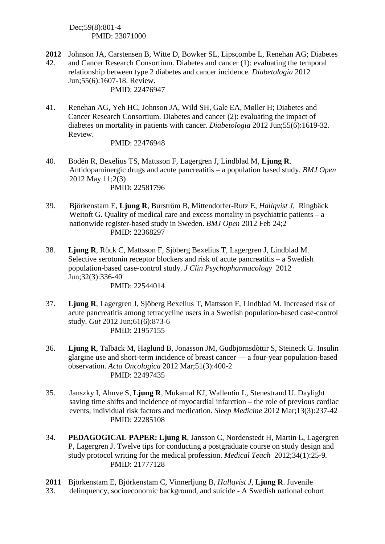Dec;59(8):801-4 PMID: 23071000

- **2012** 42. Johnson JA, Carstensen B, Witte D, Bowker SL, Lipscombe L, Renehan AG; Diabetes and Cancer Research Consortium. [Diabetes and cancer \(1\): evaluating the temporal](http://www.ncbi.nlm.nih.gov/pubmed/22476947)  [relationship between type 2 diabetes and cancer incidence.](http://www.ncbi.nlm.nih.gov/pubmed/22476947) *Diabetologia* 2012 Jun;55(6):1607-18. Review. PMID: 22476947
- 41. Renehan AG, Yeh HC, Johnson JA, Wild SH, Gale EA, Møller H; Diabetes and Cancer Research Consortium. [Diabetes and cancer \(2\): evaluating the impact of](http://www.ncbi.nlm.nih.gov/pubmed/22476948)  [diabetes on mortality in patients with cancer.](http://www.ncbi.nlm.nih.gov/pubmed/22476948) *Diabetologia* 2012 Jun;55(6):1619-32. Review.

- 40. Bodén R, Bexelius TS, Mattsson F, Lagergren J, Lindblad M, **Ljung R**. Antidopaminergic drugs and acute pancreatitis – a population based study. *BMJ Open* 2012 May 11;2(3) PMID: 22581796
- 39. Björkenstam E, **Ljung R**, Burström B, Mittendorfer-Rutz E, *Hallqvist J*, Ringbäck Weitoft G. Quality of medical care and excess mortality in psychiatric patients – a nationwide register-based study in Sweden. *BMJ Open* 2012 Feb 24;2 PMID: 22368297
- 38. **Ljung R**, Rück C, Mattsson F, Sjöberg Bexelius T, Lagergren J, Lindblad M. Selective serotonin receptor blockers and risk of acute pancreatitis – a Swedish population-based case-control study. *J Clin Psychopharmacology* 2012 Jun;32(3):336-40 PMID: 22544014
- 37. **Ljung R**, Lagergren J, Sjöberg Bexelius T, Mattsson F, Lindblad M. Increased risk of acute pancreatitis among tetracycline users in a Swedish population-based case-control study. *Gut* 2012 Jun;61(6):873-6 PMID: 21957155
- 36. **Ljung R**, Talbäck M, Haglund B, Jonasson JM, Gudbjörnsdòttir S, Steineck G. Insulin glargine use and short-term incidence of breast cancer — a four-year population-based observation. *Acta Oncologica* 2012 Mar;51(3):400-2 PMID: 22497435
- 35. Janszky I, Ahnve S, **Ljung R**, Mukamal KJ, Wallentin L, Stenestrand U. Daylight saving time shifts and incidence of myocardial infarction – the role of previous cardiac events, individual risk factors and medication. *Sleep Medicine* 2012 Mar;13(3):237-42 PMID: 22285108
- 34. **PEDAGOGICAL PAPER: Ljung R**, Jansson C, Nordenstedt H, Martin L, Lagergren P, Lagergren J. Twelve tips for conducting a postgraduate course on study design and study protocol writing for the medical profession. *Medical Teach* 2012;34(1):25-9*.*  PMID: 21777128
- **2011** Björkenstam E, Björkenstam C, Vinnerljung B*, Hallqvist J*, **Ljung R**. Juvenile
- 33. delinquency, socioeconomic background, and suicide - A Swedish national cohort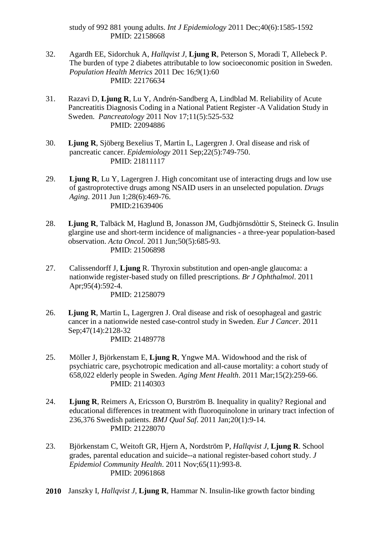study of 992 881 young adults. *Int J Epidemiology* 2011 Dec;40(6):1585-1592 PMID: 22158668

- 32. Agardh EE, Sidorchuk A, *Hallqvist J*, **Ljung R**, Peterson S, Moradi T, Allebeck P. The burden of type 2 diabetes attributable to low socioeconomic position in Sweden. *Population Health Metrics* 2011 Dec 16;9(1):60 PMID: 22176634
- 31. Razavi D, **Ljung R**, Lu Y, Andrén-Sandberg A, Lindblad M. Reliability of Acute Pancreatitis Diagnosis Coding in a National Patient Register -A Validation Study in Sweden. *Pancreatology* 2011 Nov 17;11(5):525-532 PMID: 22094886
- 30. **Ljung R**, Sjöberg Bexelius T, Martin L, Lagergren J. Oral disease and risk of pancreatic cancer. *Epidemiology* 2011 Sep;22(5):749-750. PMID: 21811117
- 29. **Ljung R**, Lu Y, Lagergren J. High concomitant use of interacting drugs and low use of gastroprotective drugs among NSAID users in an unselected population. *Drugs Aging*. 2011 Jun 1;28(6):469-76. PMID:21639406
- 28. **Ljung R**, Talbäck M, Haglund B, Jonasson JM, Gudbjörnsdòttir S, Steineck G. Insulin glargine use and short-term incidence of malignancies - a three-year population-based observation. *Acta Oncol*. 2011 Jun;50(5):685-93. PMID: 21506898
- 27. Calissendorff J, **Ljung** R. Thyroxin substitution and open-angle glaucoma: a nationwide register-based study on filled prescriptions. *Br J Ophthalmol*. 2011 Apr;95(4):592-4. PMID: 21258079
	-
- 26. **Ljung R**, Martin L, Lagergren J. Oral disease and risk of oesophageal and gastric cancer in a nationwide nested case-control study in Sweden. *Eur J Cancer*. 2011 Sep;47(14):2128-32

- 25. Möller J, Björkenstam E, **Ljung R**, Yngwe MA. Widowhood and the risk of psychiatric care, psychotropic medication and all-cause mortality: a cohort study of 658,022 elderly people in Sweden. *Aging Ment Health*. 2011 Mar;15(2):259-66. PMID: 21140303
- 24. **Ljung R**, Reimers A, Ericsson O, Burström B. Inequality in quality? Regional and educational differences in treatment with fluoroquinolone in urinary tract infection of 236,376 Swedish patients. *BMJ Qual Saf*. 2011 Jan;20(1):9-14. PMID: 21228070
- 23. Björkenstam C, Weitoft GR, Hjern A, Nordström P, *Hallqvist J*, **Ljung R**. School grades, parental education and suicide--a national register-based cohort study. *J Epidemiol Community Health*. 2011 Nov;65(11):993-8. PMID: 20961868
- **2010** Janszky I, *Hallqvist J*, **Ljung R**, Hammar N. Insulin-like growth factor binding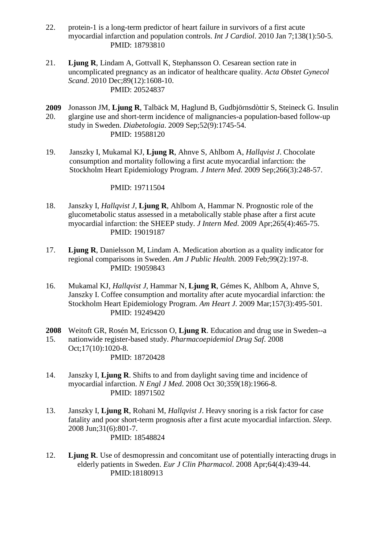- 22. protein-1 is a long-term predictor of heart failure in survivors of a first acute myocardial infarction and population controls. *Int J Cardiol*. 2010 Jan 7;138(1):50-5. PMID: 18793810
- 21. **Ljung R**, Lindam A, Gottvall K, Stephansson O. Cesarean section rate in uncomplicated pregnancy as an indicator of healthcare quality. *Acta Obstet Gynecol Scand*. 2010 Dec;89(12):1608-10. PMID: 20524837
- **2009** 20. Jonasson JM, **Ljung R**, Talbäck M, Haglund B, Gudbjörnsdòttir S, Steineck G. Insulin glargine use and short-term incidence of malignancies-a population-based follow-up study in Sweden. *Diabetologia*. 2009 Sep;52(9):1745-54. PMID: 19588120
- 19. Janszky I, Mukamal KJ, **Ljung R**, Ahnve S, Ahlbom A, *Hallqvist J*. Chocolate consumption and mortality following a first acute myocardial infarction: the Stockholm Heart Epidemiology Program. *J Intern Med*. 2009 Sep;266(3):248-57.

- 18. Janszky I, *Hallqvist J*, **Ljung R**, Ahlbom A, Hammar N. Prognostic role of the glucometabolic status assessed in a metabolically stable phase after a first acute myocardial infarction: the SHEEP study. *J Intern Med*. 2009 Apr;265(4):465-75. PMID: 19019187
- 17. **Ljung R**, Danielsson M, Lindam A. Medication abortion as a quality indicator for regional comparisons in Sweden. *Am J Public Health*. 2009 Feb;99(2):197-8. PMID: 19059843
- 16. Mukamal KJ, *Hallqvist J*, Hammar N, **Ljung R**, Gémes K, Ahlbom A, Ahnve S, Janszky I. Coffee consumption and mortality after acute myocardial infarction: the Stockholm Heart Epidemiology Program. *Am Heart J*. 2009 Mar;157(3):495-501. PMID: 19249420
- **2008** Weitoft GR, Rosén M, Ericsson O, **Ljung R**. Education and drug use in Sweden--a
- 15. nationwide register-based study. *Pharmacoepidemiol Drug Saf*. 2008 Oct;17(10):1020-8. PMID: 18720428
- 14. Janszky I, **Ljung R**. Shifts to and from daylight saving time and incidence of myocardial infarction. *N Engl J Med*. 2008 Oct 30;359(18):1966-8. PMID: 18971502
- 13. Janszky I, **Ljung R**, Rohani M, *Hallqvist J*. Heavy snoring is a risk factor for case fatality and poor short-term prognosis after a first acute myocardial infarction. *Sleep*. 2008 Jun;31(6):801-7. PMID: 18548824
- 12. **Ljung R**. Use of desmopressin and concomitant use of potentially interacting drugs in elderly patients in Sweden. *Eur J Clin Pharmacol*. 2008 Apr;64(4):439-44. PMID:18180913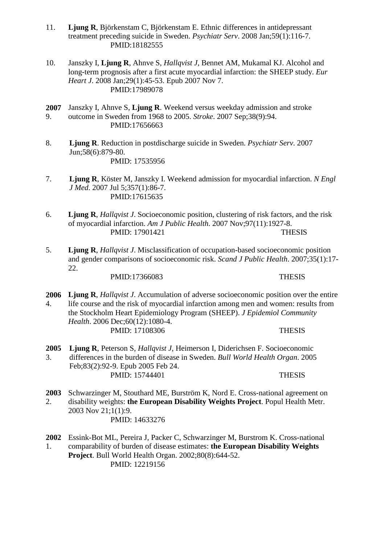- 11. **Ljung R**, Björkenstam C, Björkenstam E. Ethnic differences in antidepressant treatment preceding suicide in Sweden. *Psychiatr Serv*. 2008 Jan;59(1):116-7. PMID:18182555
- 10. Janszky I, **Ljung R**, Ahnve S, *Hallqvist J*, Bennet AM, Mukamal KJ. Alcohol and long-term prognosis after a first acute myocardial infarction: the SHEEP study. *Eur Heart J*. 2008 Jan;29(1):45-53. Epub 2007 Nov 7. PMID:17989078
- **2007** 9. Janszky I, Ahnve S, **Ljung R**. Weekend versus weekday admission and stroke outcome in Sweden from 1968 to 2005. *Stroke*. 2007 Sep;38(9):94. PMID:17656663
- 8. **Ljung R**. Reduction in postdischarge suicide in Sweden. *Psychiatr Serv*. 2007 Jun;58(6):879-80. PMID: 17535956
- 7. **Ljung R**, Köster M, Janszky I. Weekend admission for myocardial infarction. *N Engl J Med*. 2007 Jul 5;357(1):86-7. PMID:17615635
- 6. **Ljung R**, *Hallqvist J*. Socioeconomic position, clustering of risk factors, and the risk of myocardial infarction. *Am J Public Health*. 2007 Nov;97(11):1927-8. PMID: 17901421 THESIS
- 5. **Ljung R**, *Hallqvist J*. Misclassification of occupation-based socioeconomic position and gender comparisons of socioeconomic risk. *Scand J Public Health*. 2007;35(1):17- 22.

PMID:17366083 THESIS

**2006** 4. **Ljung R**, *Hallqvist J*. Accumulation of adverse socioeconomic position over the entire life course and the risk of myocardial infarction among men and women: results from the Stockholm Heart Epidemiology Program (SHEEP). *J Epidemiol Community Health*. 2006 Dec;60(12):1080-4. PMID: 17108306 THESIS

**2005** 3. **Ljung R**, Peterson S, *Hallqvist J*, Heimerson I, Diderichsen F. Socioeconomic differences in the burden of disease in Sweden. *Bull World Health Organ*. 2005 Feb;83(2):92-9. Epub 2005 Feb 24. PMID: 15744401 THESIS

**2003** 2. [Schwarzinger M,](http://www.ncbi.nlm.nih.gov/pubmed/?term=Schwarzinger%20M%5BAuthor%5D&cauthor=true&cauthor_uid=14633276) [Stouthard ME,](http://www.ncbi.nlm.nih.gov/pubmed/?term=Stouthard%20ME%5BAuthor%5D&cauthor=true&cauthor_uid=14633276) [Burström K,](http://www.ncbi.nlm.nih.gov/pubmed/?term=Burstr%C3%B6m%20K%5BAuthor%5D&cauthor=true&cauthor_uid=14633276) [Nord E.](http://www.ncbi.nlm.nih.gov/pubmed/?term=Nord%20E%5BAuthor%5D&cauthor=true&cauthor_uid=14633276) Cross-national agreement on disability weights: **the European Disability Weights Project**. [Popul Health Metr.](http://www.ncbi.nlm.nih.gov/pubmed/14633276) 2003 Nov 21;1(1):9. PMID: 14633276

[Essink-Bot ML,](http://www.ncbi.nlm.nih.gov/pubmed/?term=Essink-Bot%20ML%5BAuthor%5D&cauthor=true&cauthor_uid=12219156) [Pereira J,](http://www.ncbi.nlm.nih.gov/pubmed/?term=Pereira%20J%5BAuthor%5D&cauthor=true&cauthor_uid=12219156) [Packer C,](http://www.ncbi.nlm.nih.gov/pubmed/?term=Packer%20C%5BAuthor%5D&cauthor=true&cauthor_uid=12219156) [Schwarzinger M,](http://www.ncbi.nlm.nih.gov/pubmed/?term=Schwarzinger%20M%5BAuthor%5D&cauthor=true&cauthor_uid=12219156) [Burstrom K.](http://www.ncbi.nlm.nih.gov/pubmed/?term=Burstrom%20K%5BAuthor%5D&cauthor=true&cauthor_uid=12219156) Cross-national

**2002** 1. comparability of burden of disease estimates: **the European Disability Weights Project**. Bull World Health Organ. 2002;80(8):644-52. PMID: 12219156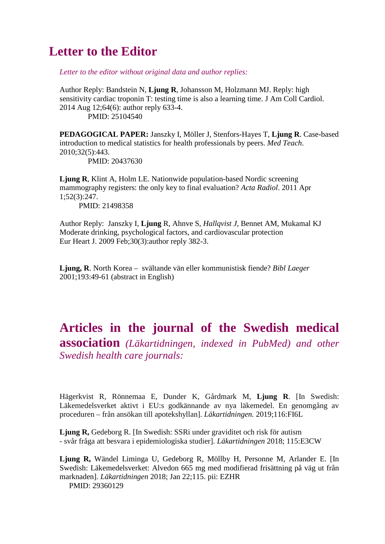## **Letter to the Editor**

*Letter to the editor without original data and author replies:*

Author Reply: Bandstein N, **Ljung R**, Johansson M, Holzmann MJ. [Reply: high](http://www.ncbi.nlm.nih.gov/pubmed/25104540)  [sensitivity cardiac troponin T: testing time is also a learning time.](http://www.ncbi.nlm.nih.gov/pubmed/25104540) J Am Coll Cardiol. 2014 Aug 12;64(6): author reply 633-4.

PMID: 25104540

**PEDAGOGICAL PAPER:** Janszky I, Möller J, Stenfors-Hayes T, **Ljung R**. Case-based introduction to medical statistics for health professionals by peers. *Med Teach*. 2010;32(5):443.

PMID: 20437630

**Ljung R**, Klint A, Holm LE. Nationwide population-based Nordic screening mammography registers: the only key to final evaluation? *Acta Radiol*. 2011 Apr 1;52(3):247.

PMID: 21498358

Author Reply: Janszky I, **Ljung** R, Ahnve S, *Hallqvist J*, Bennet AM, Mukamal KJ Moderate drinking, psychological factors, and cardiovascular protection [Eur Heart J.](http://www.ncbi.nlm.nih.gov/pubmed/?term=10.1093%2Feurheartj%2Fehn556) 2009 Feb;30(3):author reply 382-3.

**Ljung, R**. North Korea – svältande vän eller kommunistisk fiende? *Bibl Laeger*  2001;193:49-61 (abstract in English)

## **Articles in the journal of the Swedish medical association** *(Läkartidningen, indexed in PubMed) and other Swedish health care journals:*

Hägerkvist R, Rönnemaa E, Dunder K, Gårdmark M, **Ljung R**. [In Swedish: Läkemedelsverket aktivt i EU:s godkännande av nya läkemedel. En genomgång av proceduren – från ansökan till apotekshyllan]. *Läkartidningen.* 2019;116:FI6L

**Ljung R,** Gedeborg R. [In Swedish: SSRi under graviditet och risk för autism - svår fråga att besvara i epidemiologiska studier]. *Läkartidningen* 2018; 115:E3CW

**Ljung R,** Wändel Liminga U, Gedeborg R, Möllby H, Personne M, Arlander E. [In Swedish: Läkemedelsverket: Alvedon 665 mg med modifierad frisättning på väg ut från marknaden]. *Läkartidningen* 2018; Jan 22;115. pii: EZHR PMID: 29360129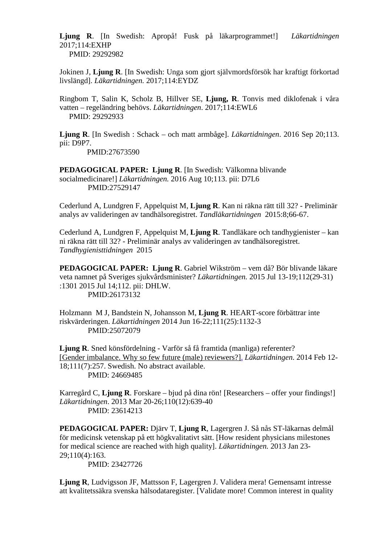**Ljung R**. [In Swedish: Apropå! Fusk på läkarprogrammet!] *Läkartidningen* 2017;114:EXHP PMID: 29292982

Jokinen J, **Ljung R**. [In Swedish: Unga som gjort självmordsförsök har kraftigt förkortad livslängd]. *Läkartidningen.* 2017;114:EYDZ

Ringbom T, Salin K, Scholz B, Hillver SE, **Ljung, R**. Tonvis med diklofenak i våra vatten – regeländring behövs. *Läkartidningen*. 2017;114:EWL6 PMID: 29292933

**Ljung R**. [In Swedish : Schack – och matt armbåge]. *Läkartidningen*. 2016 Sep 20;113. pii: D9P7. PMID:27673590

**PEDAGOGICAL PAPER: Ljung R**. [In Swedish: Välkomna blivande socialmedicinare!] *Läkartidningen.* 2016 Aug 10;113. pii: D7L6 PMID:27529147

Cederlund A, Lundgren F, Appelquist M, **Ljung R**. Kan ni räkna rätt till 32? - Preliminär analys av valideringen av tandhälsoregistret. *Tandläkartidningen* 2015:8;66-67.

Cederlund A, Lundgren F, Appelquist M, **Ljung R**. Tandläkare och tandhygienister – kan ni räkna rätt till 32? - Preliminär analys av valideringen av tandhälsoregistret. *Tandhygienisttidningen* 2015

**PEDAGOGICAL PAPER: Ljung R**. Gabriel Wikström – vem då? Bör blivande läkare veta namnet på Sveriges sjukvårdsminister? *Läkartidningen.* 2015 Jul 13-19;112(29-31) :1301 2015 Jul 14;112. pii: DHLW. PMID:26173132

Holzmann M J, Bandstein N, Johansson M, **Ljung R**. HEART-score förbättrar inte riskvärderingen. *Läkartidningen* 2014 Jun 16-22;111(25):1132-3 PMID:25072079

**Ljung R**. Sned könsfördelning - Varför så få framtida (manliga) referenter? [\[Gender imbalance. Why so few future \(male\) reviewers?\].](http://www.ncbi.nlm.nih.gov/pubmed/24669485) *Läkartidningen*. 2014 Feb 12- 18;111(7):257. Swedish. No abstract available. PMID: 24669485

Karregård C, **Ljung R**. Forskare – bjud på dina rön! [Researchers – offer your findings!] *Läkartidningen*. 2013 Mar 20-26;110(12):639-40 PMID: 23614213

**PEDAGOGICAL PAPER:** Djärv T, **Ljung R**, Lagergren J. Så nås ST-läkarnas delmål för medicinsk vetenskap på ett högkvalitativt sätt. [\[How resident physicians milestones](http://www.ncbi.nlm.nih.gov/pubmed/23427726)  [for medical science are reached with high quality\].](http://www.ncbi.nlm.nih.gov/pubmed/23427726) *Läkartidningen.* 2013 Jan 23- 29;110(4):163.

PMID: 23427726

**Ljung R**, Ludvigsson JF, Mattsson F, Lagergren J. Validera mera! Gemensamt intresse att kvalitetssäkra svenska hälsodataregister. [\[Validate more! Common interest in quality](http://www.ncbi.nlm.nih.gov/pubmed/23193932)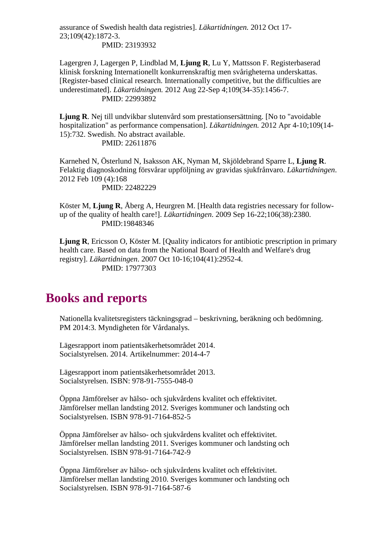[assurance of Swedish health](http://www.ncbi.nlm.nih.gov/pubmed/23193932) data registries]. *Läkartidningen.* 2012 Oct 17- 23;109(42):1872-3. PMID: 23193932

Lagergren J, Lagergen P, Lindblad M, **Ljung R**, Lu Y, Mattsson F. Registerbaserad klinisk forskning Internationellt konkurrenskraftig men svårigheterna underskattas. [\[Register-based clinical research. Internationally competitive, but the difficulties are](http://www.ncbi.nlm.nih.gov/pubmed/22993892)  [underestimated\].](http://www.ncbi.nlm.nih.gov/pubmed/22993892) *Läkartidningen.* 2012 Aug 22-Sep 4;109(34-35):1456-7. PMID: 22993892

Ljung R. Nej till undvikbar slutenvård som prestationsersättning. [No to "avoidable" [hospitalization" as performance compensation\].](http://www.ncbi.nlm.nih.gov/pubmed/22611876) *Läkartidningen.* 2012 Apr 4-10;109(14- 15):732. Swedish. No abstract available. PMID: 22611876

Karnehed N, Österlund N, Isaksson AK, Nyman M, Skjöldebrand Sparre L, **Ljung R**. Felaktig diagnoskodning försvårar uppföljning av gravidas sjukfrånvaro. *Läkartidningen*. 2012 Feb 109 (4):168

PMID: 22482229

Köster M, **Ljung R**, Åberg A, Heurgren M. [Health data registries necessary for followup of the quality of health care!]. *Läkartidningen*. 2009 Sep 16-22;106(38):2380. PMID:19848346

**Ljung R**, Ericsson O, Köster M. [Quality indicators for antibiotic prescription in primary health care. Based on data from the National Board of Health and Welfare's drug registry]. *Läkartidningen*. 2007 Oct 10-16;104(41):2952-4. PMID: 17977303

## **Books and reports**

Nationella kvalitetsregisters täckningsgrad – beskrivning, beräkning och bedömning. PM 2014:3. Myndigheten för Vårdanalys.

Lägesrapport inom patientsäkerhetsområdet 2014. Socialstyrelsen. 2014. Artikelnummer: 2014-4-7

Lägesrapport inom patientsäkerhetsområdet 2013. Socialstyrelsen. ISBN: 978-91-7555-048-0

Öppna Jämförelser av hälso- och sjukvårdens kvalitet och effektivitet. Jämförelser mellan landsting 2012. Sveriges kommuner och landsting och Socialstyrelsen. ISBN 978-91-7164-852-5

Öppna Jämförelser av hälso- och sjukvårdens kvalitet och effektivitet. Jämförelser mellan landsting 2011. Sveriges kommuner och landsting och Socialstyrelsen. ISBN 978-91-7164-742-9

Öppna Jämförelser av hälso- och sjukvårdens kvalitet och effektivitet. Jämförelser mellan landsting 2010. Sveriges kommuner och landsting och Socialstyrelsen. ISBN 978-91-7164-587-6